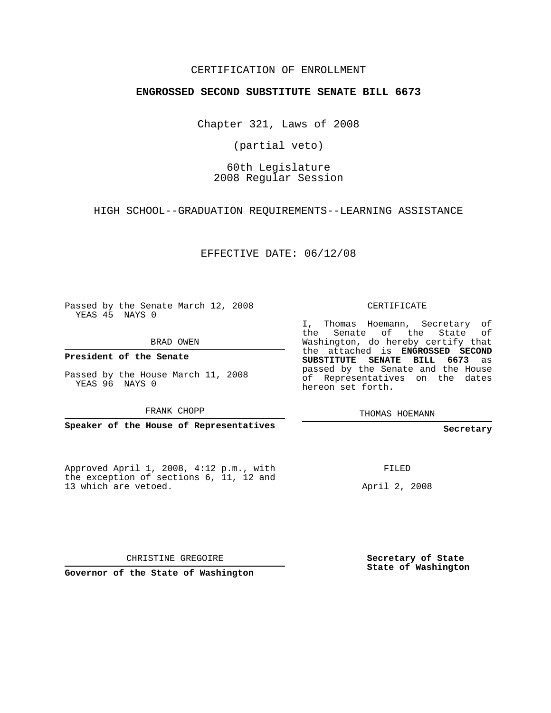### CERTIFICATION OF ENROLLMENT

### **ENGROSSED SECOND SUBSTITUTE SENATE BILL 6673**

Chapter 321, Laws of 2008

(partial veto)

## 60th Legislature 2008 Regular Session

HIGH SCHOOL--GRADUATION REQUIREMENTS--LEARNING ASSISTANCE

EFFECTIVE DATE: 06/12/08

Passed by the Senate March 12, 2008 YEAS 45 NAYS 0

BRAD OWEN

**President of the Senate**

Passed by the House March 11, 2008 YEAS 96 NAYS 0

FRANK CHOPP

**Speaker of the House of Representatives**

Approved April 1, 2008, 4:12 p.m., with the exception of sections 6, 11, 12 and 13 which are vetoed.

CERTIFICATE

I, Thomas Hoemann, Secretary of the Senate of the State of Washington, do hereby certify that the attached is **ENGROSSED SECOND SUBSTITUTE SENATE BILL 6673** as passed by the Senate and the House of Representatives on the dates hereon set forth.

THOMAS HOEMANN

**Secretary**

FILED

April 2, 2008

CHRISTINE GREGOIRE

**Governor of the State of Washington**

**Secretary of State State of Washington**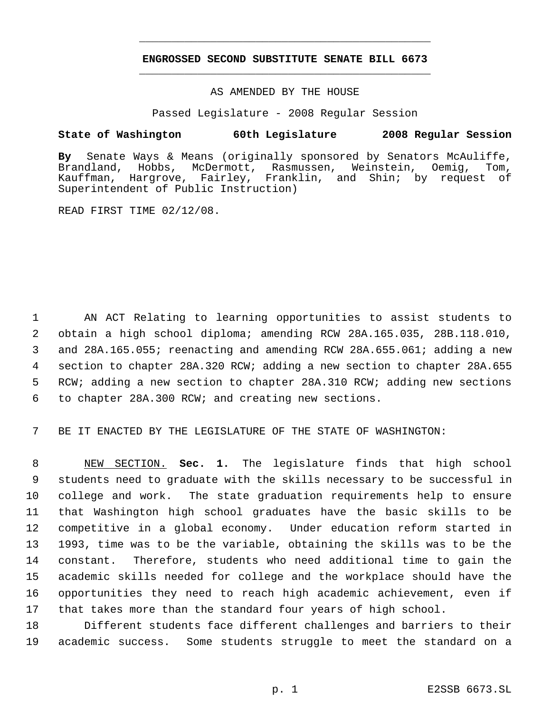# **ENGROSSED SECOND SUBSTITUTE SENATE BILL 6673** \_\_\_\_\_\_\_\_\_\_\_\_\_\_\_\_\_\_\_\_\_\_\_\_\_\_\_\_\_\_\_\_\_\_\_\_\_\_\_\_\_\_\_\_\_

\_\_\_\_\_\_\_\_\_\_\_\_\_\_\_\_\_\_\_\_\_\_\_\_\_\_\_\_\_\_\_\_\_\_\_\_\_\_\_\_\_\_\_\_\_

AS AMENDED BY THE HOUSE

Passed Legislature - 2008 Regular Session

### **State of Washington 60th Legislature 2008 Regular Session**

**By** Senate Ways & Means (originally sponsored by Senators McAuliffe, Brandland, Hobbs, McDermott, Rasmussen, Weinstein, Oemig, Tom, Kauffman, Hargrove, Fairley, Franklin, and Shin; by request of Superintendent of Public Instruction)

READ FIRST TIME 02/12/08.

 AN ACT Relating to learning opportunities to assist students to obtain a high school diploma; amending RCW 28A.165.035, 28B.118.010, and 28A.165.055; reenacting and amending RCW 28A.655.061; adding a new section to chapter 28A.320 RCW; adding a new section to chapter 28A.655 RCW; adding a new section to chapter 28A.310 RCW; adding new sections to chapter 28A.300 RCW; and creating new sections.

BE IT ENACTED BY THE LEGISLATURE OF THE STATE OF WASHINGTON:

 NEW SECTION. **Sec. 1.** The legislature finds that high school students need to graduate with the skills necessary to be successful in college and work. The state graduation requirements help to ensure that Washington high school graduates have the basic skills to be competitive in a global economy. Under education reform started in 1993, time was to be the variable, obtaining the skills was to be the constant. Therefore, students who need additional time to gain the academic skills needed for college and the workplace should have the opportunities they need to reach high academic achievement, even if that takes more than the standard four years of high school.

 Different students face different challenges and barriers to their academic success. Some students struggle to meet the standard on a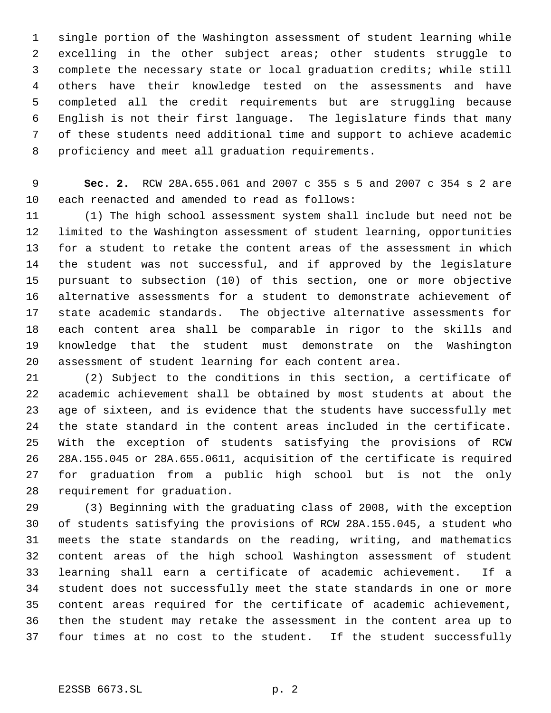single portion of the Washington assessment of student learning while excelling in the other subject areas; other students struggle to complete the necessary state or local graduation credits; while still others have their knowledge tested on the assessments and have completed all the credit requirements but are struggling because English is not their first language. The legislature finds that many of these students need additional time and support to achieve academic proficiency and meet all graduation requirements.

 **Sec. 2.** RCW 28A.655.061 and 2007 c 355 s 5 and 2007 c 354 s 2 are each reenacted and amended to read as follows:

 (1) The high school assessment system shall include but need not be limited to the Washington assessment of student learning, opportunities for a student to retake the content areas of the assessment in which the student was not successful, and if approved by the legislature pursuant to subsection (10) of this section, one or more objective alternative assessments for a student to demonstrate achievement of state academic standards. The objective alternative assessments for each content area shall be comparable in rigor to the skills and knowledge that the student must demonstrate on the Washington assessment of student learning for each content area.

 (2) Subject to the conditions in this section, a certificate of academic achievement shall be obtained by most students at about the age of sixteen, and is evidence that the students have successfully met the state standard in the content areas included in the certificate. With the exception of students satisfying the provisions of RCW 28A.155.045 or 28A.655.0611, acquisition of the certificate is required for graduation from a public high school but is not the only requirement for graduation.

 (3) Beginning with the graduating class of 2008, with the exception of students satisfying the provisions of RCW 28A.155.045, a student who meets the state standards on the reading, writing, and mathematics content areas of the high school Washington assessment of student learning shall earn a certificate of academic achievement. If a student does not successfully meet the state standards in one or more content areas required for the certificate of academic achievement, then the student may retake the assessment in the content area up to four times at no cost to the student. If the student successfully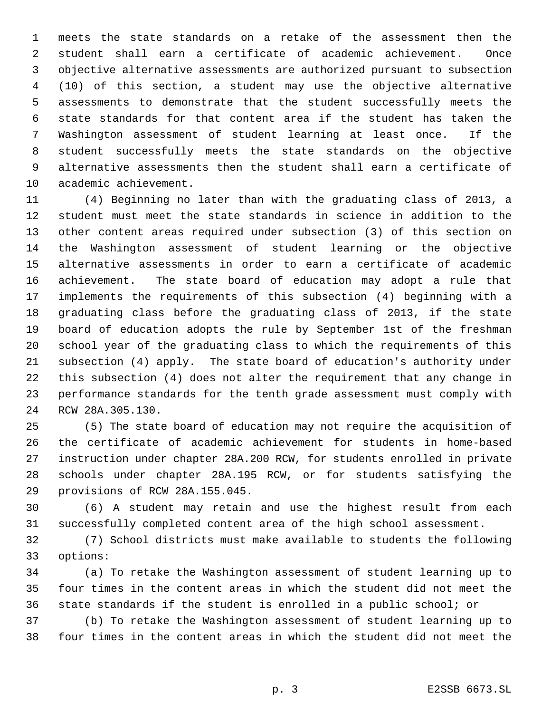meets the state standards on a retake of the assessment then the student shall earn a certificate of academic achievement. Once objective alternative assessments are authorized pursuant to subsection (10) of this section, a student may use the objective alternative assessments to demonstrate that the student successfully meets the state standards for that content area if the student has taken the Washington assessment of student learning at least once. If the 8 student successfully meets the state standards on the objective alternative assessments then the student shall earn a certificate of academic achievement.

 (4) Beginning no later than with the graduating class of 2013, a student must meet the state standards in science in addition to the other content areas required under subsection (3) of this section on the Washington assessment of student learning or the objective alternative assessments in order to earn a certificate of academic achievement. The state board of education may adopt a rule that implements the requirements of this subsection (4) beginning with a graduating class before the graduating class of 2013, if the state board of education adopts the rule by September 1st of the freshman school year of the graduating class to which the requirements of this subsection (4) apply. The state board of education's authority under this subsection (4) does not alter the requirement that any change in performance standards for the tenth grade assessment must comply with RCW 28A.305.130.

 (5) The state board of education may not require the acquisition of the certificate of academic achievement for students in home-based instruction under chapter 28A.200 RCW, for students enrolled in private schools under chapter 28A.195 RCW, or for students satisfying the provisions of RCW 28A.155.045.

 (6) A student may retain and use the highest result from each successfully completed content area of the high school assessment.

 (7) School districts must make available to students the following options:

 (a) To retake the Washington assessment of student learning up to four times in the content areas in which the student did not meet the state standards if the student is enrolled in a public school; or

 (b) To retake the Washington assessment of student learning up to four times in the content areas in which the student did not meet the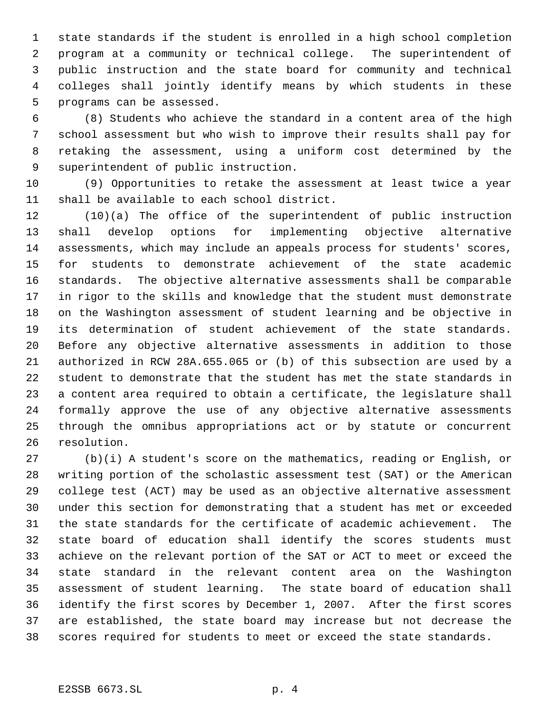state standards if the student is enrolled in a high school completion program at a community or technical college. The superintendent of public instruction and the state board for community and technical colleges shall jointly identify means by which students in these programs can be assessed.

 (8) Students who achieve the standard in a content area of the high school assessment but who wish to improve their results shall pay for retaking the assessment, using a uniform cost determined by the superintendent of public instruction.

 (9) Opportunities to retake the assessment at least twice a year shall be available to each school district.

 (10)(a) The office of the superintendent of public instruction shall develop options for implementing objective alternative assessments, which may include an appeals process for students' scores, for students to demonstrate achievement of the state academic standards. The objective alternative assessments shall be comparable in rigor to the skills and knowledge that the student must demonstrate on the Washington assessment of student learning and be objective in 19 its determination of student achievement of the state standards. Before any objective alternative assessments in addition to those authorized in RCW 28A.655.065 or (b) of this subsection are used by a student to demonstrate that the student has met the state standards in a content area required to obtain a certificate, the legislature shall formally approve the use of any objective alternative assessments through the omnibus appropriations act or by statute or concurrent resolution.

 (b)(i) A student's score on the mathematics, reading or English, or writing portion of the scholastic assessment test (SAT) or the American college test (ACT) may be used as an objective alternative assessment under this section for demonstrating that a student has met or exceeded the state standards for the certificate of academic achievement. The state board of education shall identify the scores students must achieve on the relevant portion of the SAT or ACT to meet or exceed the state standard in the relevant content area on the Washington assessment of student learning. The state board of education shall identify the first scores by December 1, 2007. After the first scores are established, the state board may increase but not decrease the scores required for students to meet or exceed the state standards.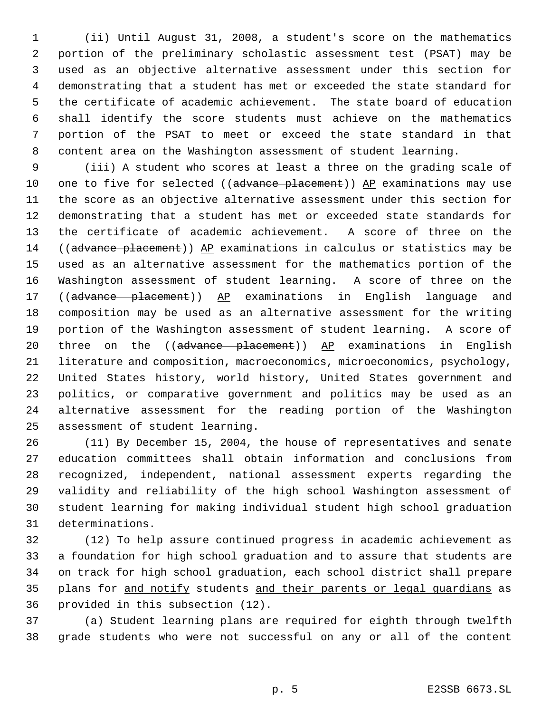(ii) Until August 31, 2008, a student's score on the mathematics portion of the preliminary scholastic assessment test (PSAT) may be used as an objective alternative assessment under this section for demonstrating that a student has met or exceeded the state standard for the certificate of academic achievement. The state board of education shall identify the score students must achieve on the mathematics 7 portion of the PSAT to meet or exceed the state standard in that content area on the Washington assessment of student learning.

 (iii) A student who scores at least a three on the grading scale of 10 one to five for selected ((advance placement)) AP examinations may use the score as an objective alternative assessment under this section for demonstrating that a student has met or exceeded state standards for the certificate of academic achievement. A score of three on the 14 ((advance placement)) AP examinations in calculus or statistics may be used as an alternative assessment for the mathematics portion of the Washington assessment of student learning. A score of three on the 17 ((advance placement)) AP examinations in English language and composition may be used as an alternative assessment for the writing portion of the Washington assessment of student learning. A score of 20 three on the (( $ad$ vance  $p$ lacement))  $\Delta P$  examinations in English literature and composition, macroeconomics, microeconomics, psychology, United States history, world history, United States government and politics, or comparative government and politics may be used as an alternative assessment for the reading portion of the Washington assessment of student learning.

 (11) By December 15, 2004, the house of representatives and senate education committees shall obtain information and conclusions from recognized, independent, national assessment experts regarding the validity and reliability of the high school Washington assessment of student learning for making individual student high school graduation determinations.

 (12) To help assure continued progress in academic achievement as a foundation for high school graduation and to assure that students are on track for high school graduation, each school district shall prepare 35 plans for and notify students and their parents or legal quardians as provided in this subsection (12).

 (a) Student learning plans are required for eighth through twelfth grade students who were not successful on any or all of the content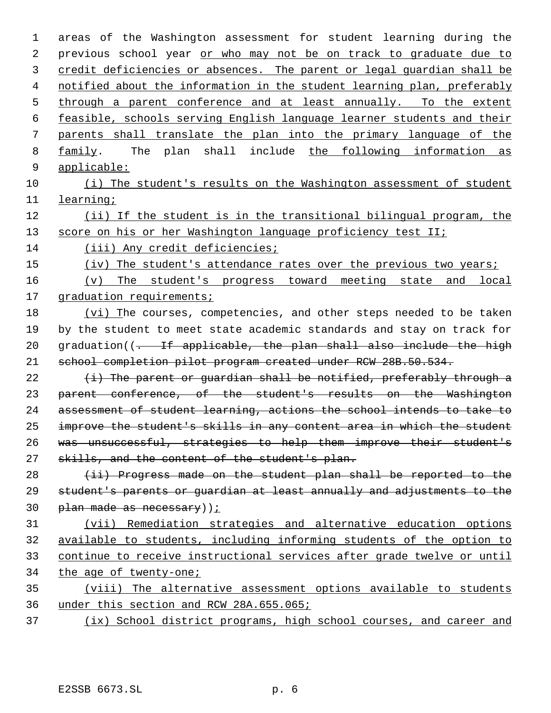areas of the Washington assessment for student learning during the 2 previous school year or who may not be on track to graduate due to 3 credit deficiencies or absences. The parent or legal guardian shall be notified about the information in the student learning plan, preferably 5 through a parent conference and at least annually. To the extent feasible, schools serving English language learner students and their parents shall translate the plan into the primary language of the family. The plan shall include the following information as applicable: (i) The student's results on the Washington assessment of student learning; 12 (ii) If the student is in the transitional bilingual program, the 13 score on his or her Washington language proficiency test II; (iii) Any credit deficiencies; 15 (iv) The student's attendance rates over the previous two years; (v) The student's progress toward meeting state and local 17 graduation requirements; (vi) The courses, competencies, and other steps needed to be taken by the student to meet state academic standards and stay on track for 20 graduation( $(-$  If applicable, the plan shall also include the high school completion pilot program created under RCW 28B.50.534.  $(i)$  The parent or guardian shall be notified, preferably through a parent conference, of the student's results on the Washington assessment of student learning, actions the school intends to take to improve the student's skills in any content area in which the student was unsuccessful, strategies to help them improve their student's 27 skills, and the content of the student's plan. (ii) Progress made on the student plan shall be reported to the student's parents or guardian at least annually and adjustments to the 30 plan made as necessary) ; (vii) Remediation strategies and alternative education options available to students, including informing students of the option to continue to receive instructional services after grade twelve or until the age of twenty-one; (viii) The alternative assessment options available to students under this section and RCW 28A.655.065; (ix) School district programs, high school courses, and career and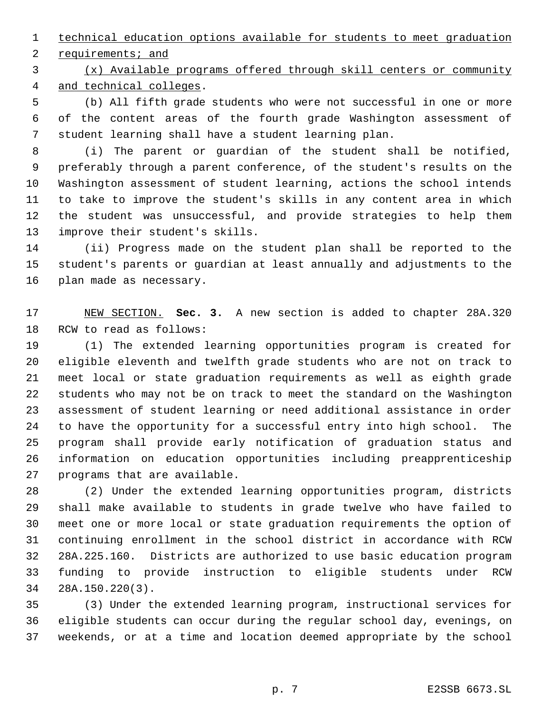technical education options available for students to meet graduation

requirements; and

 (x) Available programs offered through skill centers or community and technical colleges.

 (b) All fifth grade students who were not successful in one or more of the content areas of the fourth grade Washington assessment of student learning shall have a student learning plan.

 (i) The parent or guardian of the student shall be notified, preferably through a parent conference, of the student's results on the Washington assessment of student learning, actions the school intends to take to improve the student's skills in any content area in which the student was unsuccessful, and provide strategies to help them improve their student's skills.

 (ii) Progress made on the student plan shall be reported to the student's parents or guardian at least annually and adjustments to the plan made as necessary.

 NEW SECTION. **Sec. 3.** A new section is added to chapter 28A.320 RCW to read as follows:

 (1) The extended learning opportunities program is created for eligible eleventh and twelfth grade students who are not on track to meet local or state graduation requirements as well as eighth grade students who may not be on track to meet the standard on the Washington assessment of student learning or need additional assistance in order to have the opportunity for a successful entry into high school. The program shall provide early notification of graduation status and information on education opportunities including preapprenticeship programs that are available.

 (2) Under the extended learning opportunities program, districts shall make available to students in grade twelve who have failed to meet one or more local or state graduation requirements the option of continuing enrollment in the school district in accordance with RCW 28A.225.160. Districts are authorized to use basic education program funding to provide instruction to eligible students under RCW 28A.150.220(3).

 (3) Under the extended learning program, instructional services for eligible students can occur during the regular school day, evenings, on weekends, or at a time and location deemed appropriate by the school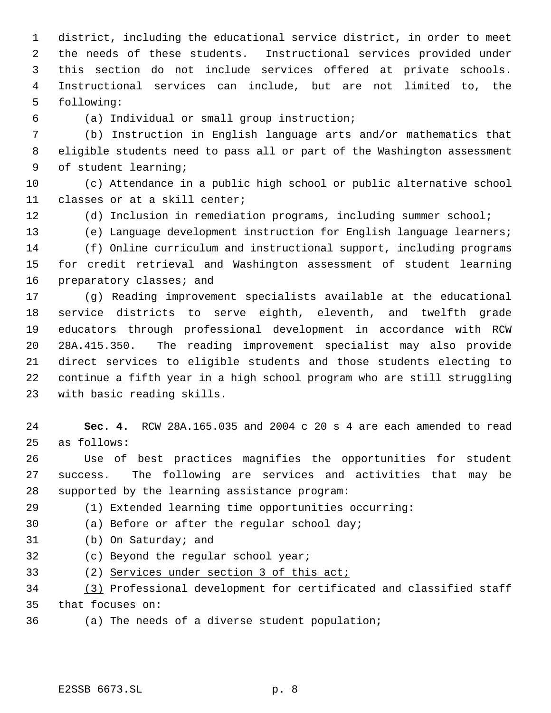district, including the educational service district, in order to meet the needs of these students. Instructional services provided under this section do not include services offered at private schools. Instructional services can include, but are not limited to, the following:

(a) Individual or small group instruction;

 (b) Instruction in English language arts and/or mathematics that eligible students need to pass all or part of the Washington assessment of student learning;

 (c) Attendance in a public high school or public alternative school classes or at a skill center;

(d) Inclusion in remediation programs, including summer school;

 (e) Language development instruction for English language learners; (f) Online curriculum and instructional support, including programs for credit retrieval and Washington assessment of student learning 16 preparatory classes; and

 (g) Reading improvement specialists available at the educational service districts to serve eighth, eleventh, and twelfth grade educators through professional development in accordance with RCW 28A.415.350. The reading improvement specialist may also provide direct services to eligible students and those students electing to continue a fifth year in a high school program who are still struggling with basic reading skills.

 **Sec. 4.** RCW 28A.165.035 and 2004 c 20 s 4 are each amended to read as follows:

 Use of best practices magnifies the opportunities for student success. The following are services and activities that may be supported by the learning assistance program:

(1) Extended learning time opportunities occurring:

(a) Before or after the regular school day;

(b) On Saturday; and

(c) Beyond the regular school year;

33 (2) Services under section 3 of this act;

 (3) Professional development for certificated and classified staff that focuses on:

(a) The needs of a diverse student population;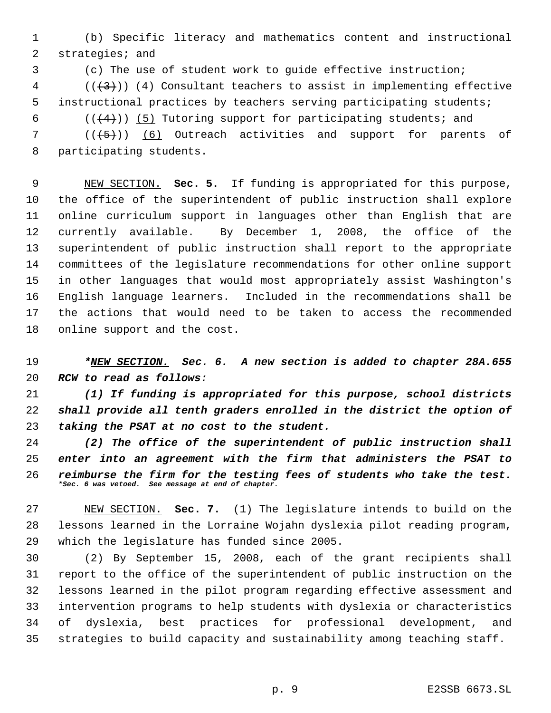(b) Specific literacy and mathematics content and instructional strategies; and

(c) The use of student work to guide effective instruction;

 (( $\left(\frac{43}{3}\right)$ ) (4) Consultant teachers to assist in implementing effective instructional practices by teachers serving participating students;

6  $((+4))$  (5) Tutoring support for participating students; and

 (( $(\frac{5}{7})$ ) (6) Outreach activities and support for parents of participating students.

 NEW SECTION. **Sec. 5.** If funding is appropriated for this purpose, the office of the superintendent of public instruction shall explore online curriculum support in languages other than English that are currently available. By December 1, 2008, the office of the superintendent of public instruction shall report to the appropriate committees of the legislature recommendations for other online support in other languages that would most appropriately assist Washington's English language learners. Included in the recommendations shall be the actions that would need to be taken to access the recommended online support and the cost.

 *\*NEW SECTION. Sec. 6. A new section is added to chapter 28A.655 RCW to read as follows:*

 *(1) If funding is appropriated for this purpose, school districts shall provide all tenth graders enrolled in the district the option of taking the PSAT at no cost to the student.*

 *(2) The office of the superintendent of public instruction shall enter into an agreement with the firm that administers the PSAT to reimburse the firm for the testing fees of students who take the test. \*Sec. 6 was vetoed. See message at end of chapter.*

 NEW SECTION. **Sec. 7.** (1) The legislature intends to build on the lessons learned in the Lorraine Wojahn dyslexia pilot reading program, which the legislature has funded since 2005.

 (2) By September 15, 2008, each of the grant recipients shall report to the office of the superintendent of public instruction on the lessons learned in the pilot program regarding effective assessment and intervention programs to help students with dyslexia or characteristics of dyslexia, best practices for professional development, and strategies to build capacity and sustainability among teaching staff.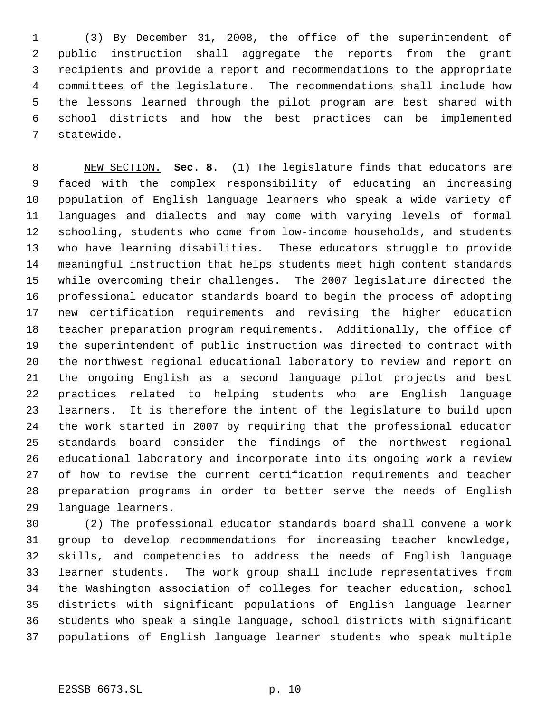(3) By December 31, 2008, the office of the superintendent of public instruction shall aggregate the reports from the grant recipients and provide a report and recommendations to the appropriate committees of the legislature. The recommendations shall include how the lessons learned through the pilot program are best shared with school districts and how the best practices can be implemented statewide.

 NEW SECTION. **Sec. 8.** (1) The legislature finds that educators are faced with the complex responsibility of educating an increasing population of English language learners who speak a wide variety of languages and dialects and may come with varying levels of formal schooling, students who come from low-income households, and students who have learning disabilities. These educators struggle to provide meaningful instruction that helps students meet high content standards while overcoming their challenges. The 2007 legislature directed the professional educator standards board to begin the process of adopting new certification requirements and revising the higher education teacher preparation program requirements. Additionally, the office of the superintendent of public instruction was directed to contract with the northwest regional educational laboratory to review and report on the ongoing English as a second language pilot projects and best practices related to helping students who are English language learners. It is therefore the intent of the legislature to build upon the work started in 2007 by requiring that the professional educator standards board consider the findings of the northwest regional educational laboratory and incorporate into its ongoing work a review of how to revise the current certification requirements and teacher preparation programs in order to better serve the needs of English language learners.

 (2) The professional educator standards board shall convene a work group to develop recommendations for increasing teacher knowledge, skills, and competencies to address the needs of English language learner students. The work group shall include representatives from the Washington association of colleges for teacher education, school districts with significant populations of English language learner students who speak a single language, school districts with significant populations of English language learner students who speak multiple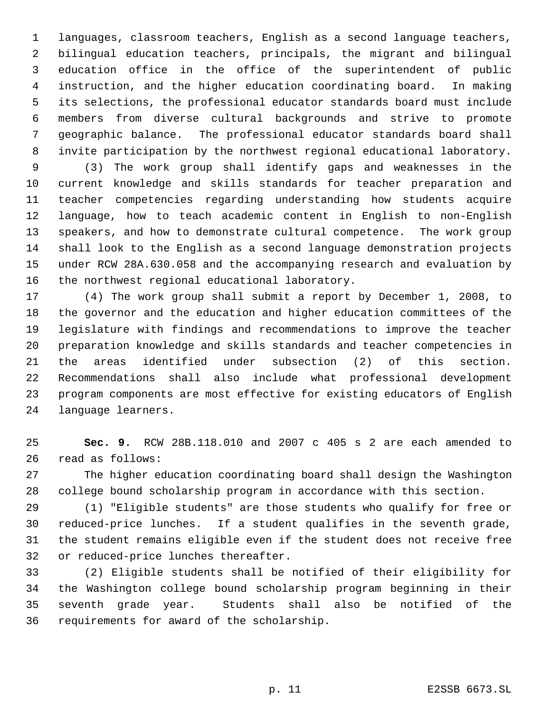languages, classroom teachers, English as a second language teachers, bilingual education teachers, principals, the migrant and bilingual education office in the office of the superintendent of public instruction, and the higher education coordinating board. In making its selections, the professional educator standards board must include members from diverse cultural backgrounds and strive to promote geographic balance. The professional educator standards board shall invite participation by the northwest regional educational laboratory.

 (3) The work group shall identify gaps and weaknesses in the current knowledge and skills standards for teacher preparation and teacher competencies regarding understanding how students acquire language, how to teach academic content in English to non-English speakers, and how to demonstrate cultural competence. The work group shall look to the English as a second language demonstration projects under RCW 28A.630.058 and the accompanying research and evaluation by the northwest regional educational laboratory.

 (4) The work group shall submit a report by December 1, 2008, to the governor and the education and higher education committees of the legislature with findings and recommendations to improve the teacher preparation knowledge and skills standards and teacher competencies in the areas identified under subsection (2) of this section. Recommendations shall also include what professional development program components are most effective for existing educators of English language learners.

 **Sec. 9.** RCW 28B.118.010 and 2007 c 405 s 2 are each amended to read as follows:

 The higher education coordinating board shall design the Washington college bound scholarship program in accordance with this section.

 (1) "Eligible students" are those students who qualify for free or reduced-price lunches. If a student qualifies in the seventh grade, the student remains eligible even if the student does not receive free or reduced-price lunches thereafter.

 (2) Eligible students shall be notified of their eligibility for the Washington college bound scholarship program beginning in their seventh grade year. Students shall also be notified of the requirements for award of the scholarship.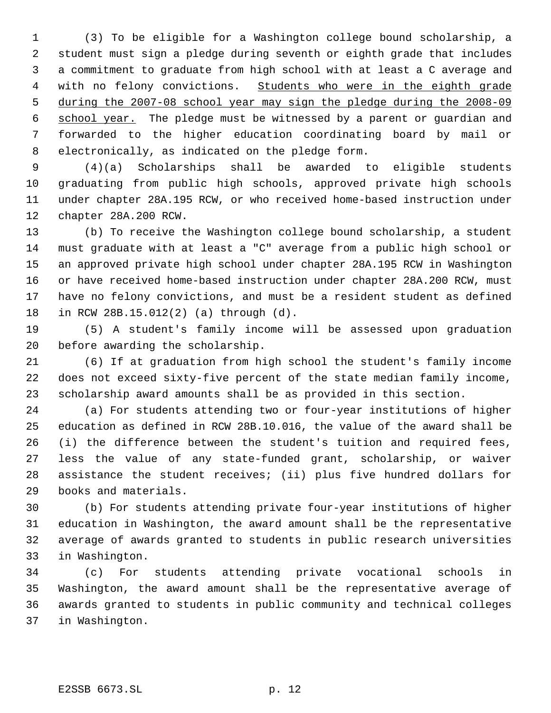(3) To be eligible for a Washington college bound scholarship, a student must sign a pledge during seventh or eighth grade that includes a commitment to graduate from high school with at least a C average and 4 with no felony convictions. Students who were in the eighth grade during the 2007-08 school year may sign the pledge during the 2008-09 6 school year. The pledge must be witnessed by a parent or guardian and forwarded to the higher education coordinating board by mail or electronically, as indicated on the pledge form.

 (4)(a) Scholarships shall be awarded to eligible students graduating from public high schools, approved private high schools under chapter 28A.195 RCW, or who received home-based instruction under chapter 28A.200 RCW.

 (b) To receive the Washington college bound scholarship, a student must graduate with at least a "C" average from a public high school or an approved private high school under chapter 28A.195 RCW in Washington or have received home-based instruction under chapter 28A.200 RCW, must have no felony convictions, and must be a resident student as defined in RCW 28B.15.012(2) (a) through (d).

 (5) A student's family income will be assessed upon graduation before awarding the scholarship.

 (6) If at graduation from high school the student's family income does not exceed sixty-five percent of the state median family income, scholarship award amounts shall be as provided in this section.

 (a) For students attending two or four-year institutions of higher education as defined in RCW 28B.10.016, the value of the award shall be (i) the difference between the student's tuition and required fees, less the value of any state-funded grant, scholarship, or waiver assistance the student receives; (ii) plus five hundred dollars for books and materials.

 (b) For students attending private four-year institutions of higher education in Washington, the award amount shall be the representative average of awards granted to students in public research universities in Washington.

 (c) For students attending private vocational schools in Washington, the award amount shall be the representative average of awards granted to students in public community and technical colleges in Washington.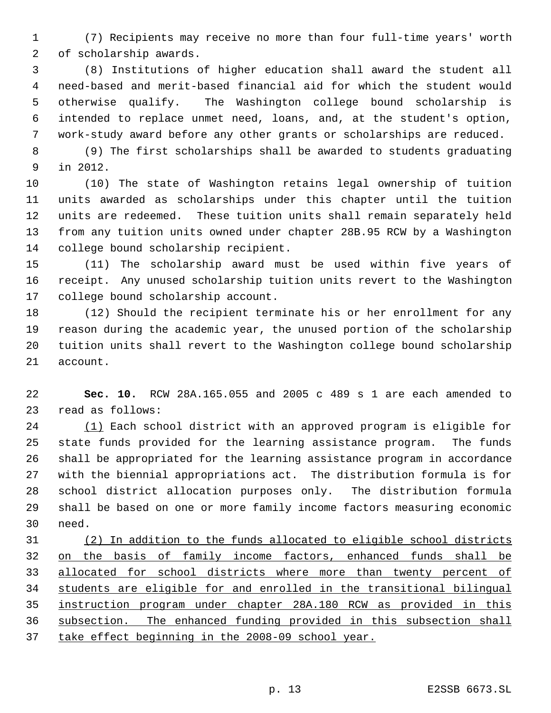(7) Recipients may receive no more than four full-time years' worth of scholarship awards.

 (8) Institutions of higher education shall award the student all need-based and merit-based financial aid for which the student would otherwise qualify. The Washington college bound scholarship is intended to replace unmet need, loans, and, at the student's option, work-study award before any other grants or scholarships are reduced.

 (9) The first scholarships shall be awarded to students graduating in 2012.

 (10) The state of Washington retains legal ownership of tuition units awarded as scholarships under this chapter until the tuition units are redeemed. These tuition units shall remain separately held from any tuition units owned under chapter 28B.95 RCW by a Washington college bound scholarship recipient.

 (11) The scholarship award must be used within five years of receipt. Any unused scholarship tuition units revert to the Washington college bound scholarship account.

 (12) Should the recipient terminate his or her enrollment for any reason during the academic year, the unused portion of the scholarship tuition units shall revert to the Washington college bound scholarship account.

 **Sec. 10.** RCW 28A.165.055 and 2005 c 489 s 1 are each amended to read as follows:

 (1) Each school district with an approved program is eligible for state funds provided for the learning assistance program. The funds shall be appropriated for the learning assistance program in accordance with the biennial appropriations act. The distribution formula is for school district allocation purposes only. The distribution formula shall be based on one or more family income factors measuring economic need.

 (2) In addition to the funds allocated to eligible school districts 32 on the basis of family income factors, enhanced funds shall be 33 allocated for school districts where more than twenty percent of students are eligible for and enrolled in the transitional bilingual instruction program under chapter 28A.180 RCW as provided in this subsection. The enhanced funding provided in this subsection shall 37 take effect beginning in the 2008-09 school year.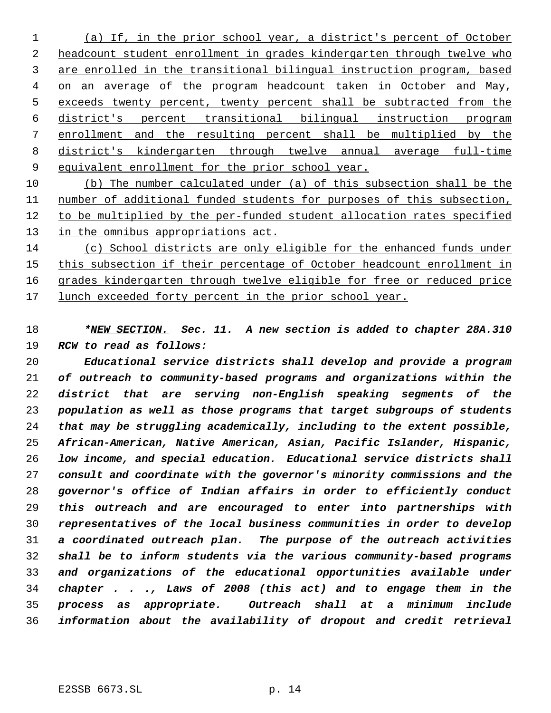(a) If, in the prior school year, a district's percent of October headcount student enrollment in grades kindergarten through twelve who are enrolled in the transitional bilingual instruction program, based on an average of the program headcount taken in October and May, exceeds twenty percent, twenty percent shall be subtracted from the district's percent transitional bilingual instruction program enrollment and the resulting percent shall be multiplied by the district's kindergarten through twelve annual average full-time 9 equivalent enrollment for the prior school year.

 (b) The number calculated under (a) of this subsection shall be the number of additional funded students for purposes of this subsection, to be multiplied by the per-funded student allocation rates specified 13 in the omnibus appropriations act.

 (c) School districts are only eligible for the enhanced funds under 15 this subsection if their percentage of October headcount enrollment in grades kindergarten through twelve eligible for free or reduced price 17 lunch exceeded forty percent in the prior school year.

 *\*NEW SECTION. Sec. 11. A new section is added to chapter 28A.310 RCW to read as follows:*

 *Educational service districts shall develop and provide a program of outreach to community-based programs and organizations within the district that are serving non-English speaking segments of the population as well as those programs that target subgroups of students that may be struggling academically, including to the extent possible, African-American, Native American, Asian, Pacific Islander, Hispanic, low income, and special education. Educational service districts shall consult and coordinate with the governor's minority commissions and the governor's office of Indian affairs in order to efficiently conduct this outreach and are encouraged to enter into partnerships with representatives of the local business communities in order to develop a coordinated outreach plan. The purpose of the outreach activities shall be to inform students via the various community-based programs and organizations of the educational opportunities available under chapter . . ., Laws of 2008 (this act) and to engage them in the process as appropriate. Outreach shall at a minimum include information about the availability of dropout and credit retrieval*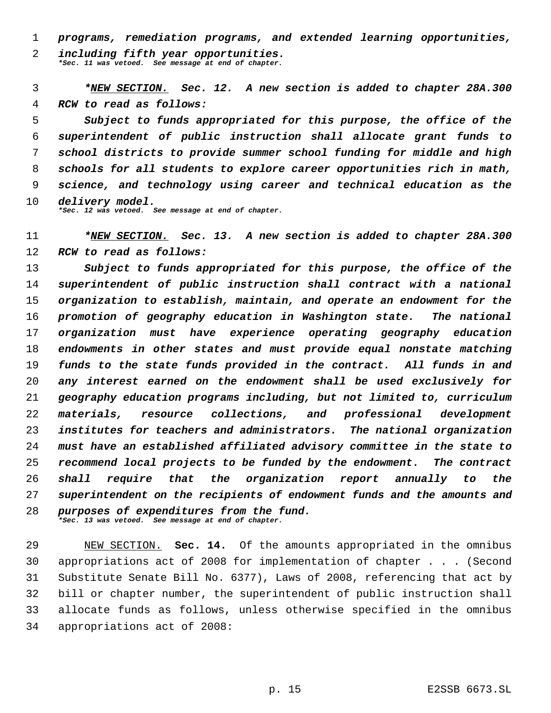*programs, remediation programs, and extended learning opportunities,*

 *including fifth year opportunities. \*Sec. 11 was vetoed. See message at end of chapter.*

 *\*NEW SECTION. Sec. 12. A new section is added to chapter 28A.300 RCW to read as follows:*

 *Subject to funds appropriated for this purpose, the office of the superintendent of public instruction shall allocate grant funds to school districts to provide summer school funding for middle and high schools for all students to explore career opportunities rich in math, science, and technology using career and technical education as the delivery model.*

*\*Sec. 12 was vetoed. See message at end of chapter.*

 *\*NEW SECTION. Sec. 13. A new section is added to chapter 28A.300 RCW to read as follows:*

 *Subject to funds appropriated for this purpose, the office of the superintendent of public instruction shall contract with a national organization to establish, maintain, and operate an endowment for the promotion of geography education in Washington state. The national organization must have experience operating geography education endowments in other states and must provide equal nonstate matching funds to the state funds provided in the contract. All funds in and any interest earned on the endowment shall be used exclusively for geography education programs including, but not limited to, curriculum materials, resource collections, and professional development institutes for teachers and administrators. The national organization must have an established affiliated advisory committee in the state to recommend local projects to be funded by the endowment. The contract shall require that the organization report annually to the superintendent on the recipients of endowment funds and the amounts and purposes of expenditures from the fund. \*Sec. 13 was vetoed. See message at end of chapter.*

 NEW SECTION. **Sec. 14.** Of the amounts appropriated in the omnibus appropriations act of 2008 for implementation of chapter . . . (Second Substitute Senate Bill No. 6377), Laws of 2008, referencing that act by bill or chapter number, the superintendent of public instruction shall allocate funds as follows, unless otherwise specified in the omnibus appropriations act of 2008: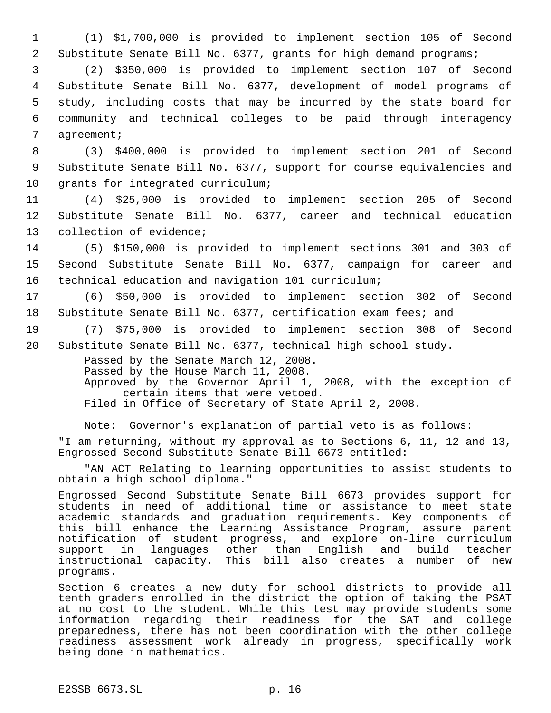1 (1) \$1,700,000 is provided to implement section 105 of Second 2 Substitute Senate Bill No. 6377, grants for high demand programs;

 (2) \$350,000 is provided to implement section 107 of Second Substitute Senate Bill No. 6377, development of model programs of study, including costs that may be incurred by the state board for community and technical colleges to be paid through interagency agreement;

 8 (3) \$400,000 is provided to implement section 201 of Second 9 Substitute Senate Bill No. 6377, support for course equivalencies and 10 grants for integrated curriculum;

11 (4) \$25,000 is provided to implement section 205 of Second 12 Substitute Senate Bill No. 6377, career and technical education 13 collection of evidence;

14 (5) \$150,000 is provided to implement sections 301 and 303 of 15 Second Substitute Senate Bill No. 6377, campaign for career and 16 technical education and navigation 101 curriculum;

17 (6) \$50,000 is provided to implement section 302 of Second 18 Substitute Senate Bill No. 6377, certification exam fees; and

19 (7) \$75,000 is provided to implement section 308 of Second 20 Substitute Senate Bill No. 6377, technical high school study.

> Passed by the Senate March 12, 2008. Passed by the House March 11, 2008. Approved by the Governor April 1, 2008, with the exception of certain items that were vetoed. Filed in Office of Secretary of State April 2, 2008.

Note: Governor's explanation of partial veto is as follows: "I am returning, without my approval as to Sections 6, 11, 12 and 13, Engrossed Second Substitute Senate Bill 6673 entitled:

"AN ACT Relating to learning opportunities to assist students to obtain a high school diploma."

Engrossed Second Substitute Senate Bill 6673 provides support for students in need of additional time or assistance to meet state academic standards and graduation requirements. Key components of this bill enhance the Learning Assistance Program, assure parent notification of student progress, and explore on-line curriculum support in languages other than English and build teacher instructional capacity. This bill also creates a number of new programs.

Section 6 creates a new duty for school districts to provide all tenth graders enrolled in the district the option of taking the PSAT at no cost to the student. While this test may provide students some information regarding their readiness for the SAT and college preparedness, there has not been coordination with the other college readiness assessment work already in progress, specifically work being done in mathematics.